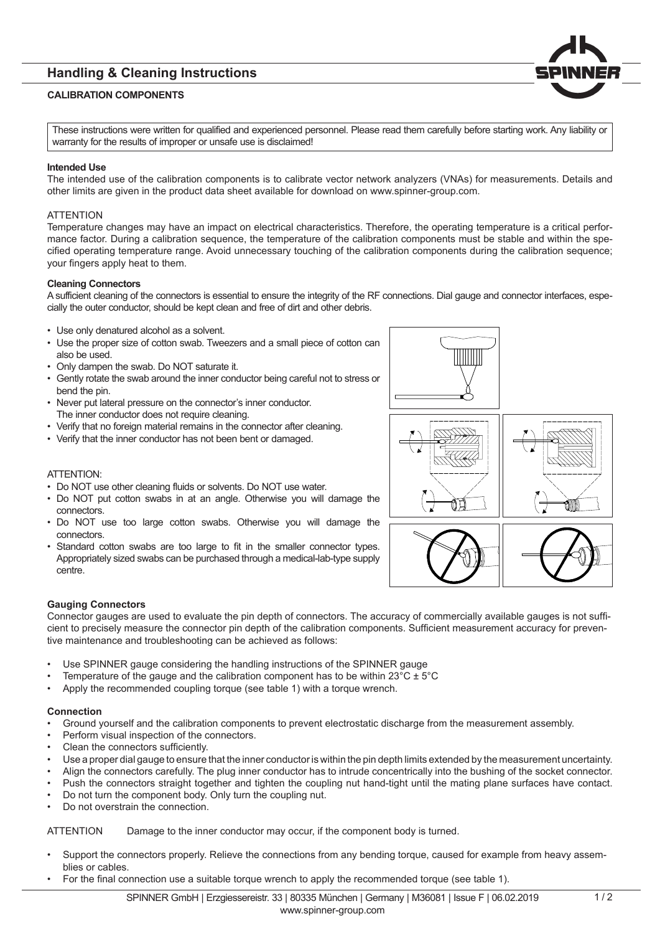# **Handling & Cleaning Instructions**

## **CALIBRATION COMPONENTS**

These instructions were written for qualified and experienced personnel. Please read them carefully before starting work. Any liability or warranty for the results of improper or unsafe use is disclaimed!

### **Intended Use**

The intended use of the calibration components is to calibrate vector network analyzers (VNAs) for measurements. Details and other limits are given in the product data sheet available for download on www.spinner-group.com.

### **ATTENTION**

Temperature changes may have an impact on electrical characteristics. Therefore, the operating temperature is a critical performance factor. During a calibration sequence, the temperature of the calibration components must be stable and within the specified operating temperature range. Avoid unnecessary touching of the calibration components during the calibration sequence; your fingers apply heat to them.

#### **Cleaning Connectors**

A sufficient cleaning of the connectors is essential to ensure the integrity of the RF connections. Dial gauge and connector interfaces, especially the outer conductor, should be kept clean and free of dirt and other debris.

- Use only denatured alcohol as a solvent.
- Use the proper size of cotton swab. Tweezers and a small piece of cotton can also be used.
- Only dampen the swab. Do NOT saturate it.
- Gently rotate the swab around the inner conductor being careful not to stress or bend the pin.
- Never put lateral pressure on the connector's inner conductor. The inner conductor does not require cleaning.
- Verify that no foreign material remains in the connector after cleaning.
- Verify that the inner conductor has not been bent or damaged.

## ATTENTION:

- Do NOT use other cleaning fluids or solvents. Do NOT use water.
- Do NOT put cotton swabs in at an angle. Otherwise you will damage the connectors.
- Do NOT use too large cotton swabs. Otherwise you will damage the connectors.
- Standard cotton swabs are too large to fit in the smaller connector types. Appropriately sized swabs can be purchased through a medical-lab-type supply centre.







Connector gauges are used to evaluate the pin depth of connectors. The accuracy of commercially available gauges is not sufficient to precisely measure the connector pin depth of the calibration components. Sufficient measurement accuracy for preventive maintenance and troubleshooting can be achieved as follows:

- Use SPINNER gauge considering the handling instructions of the SPINNER gauge
- Temperature of the gauge and the calibration component has to be within  $23^{\circ}C + 5^{\circ}C$
- Apply the recommended coupling torque (see table 1) with a torque wrench.

## **Connection**

- Ground yourself and the calibration components to prevent electrostatic discharge from the measurement assembly.
- Perform visual inspection of the connectors.
- Clean the connectors sufficiently.
- Use a proper dial gauge to ensure that the inner conductor is within the pin depth limits extended by the measurement uncertainty.
- Align the connectors carefully. The plug inner conductor has to intrude concentrically into the bushing of the socket connector.
- Push the connectors straight together and tighten the coupling nut hand-tight until the mating plane surfaces have contact.
- Do not turn the component body. Only turn the coupling nut.
- Do not overstrain the connection.

ATTENTION Damage to the inner conductor may occur, if the component body is turned.

- Support the connectors properly. Relieve the connections from any bending torque, caused for example from heavy assemblies or cables.
- For the final connection use a suitable torque wrench to apply the recommended torque (see table 1).